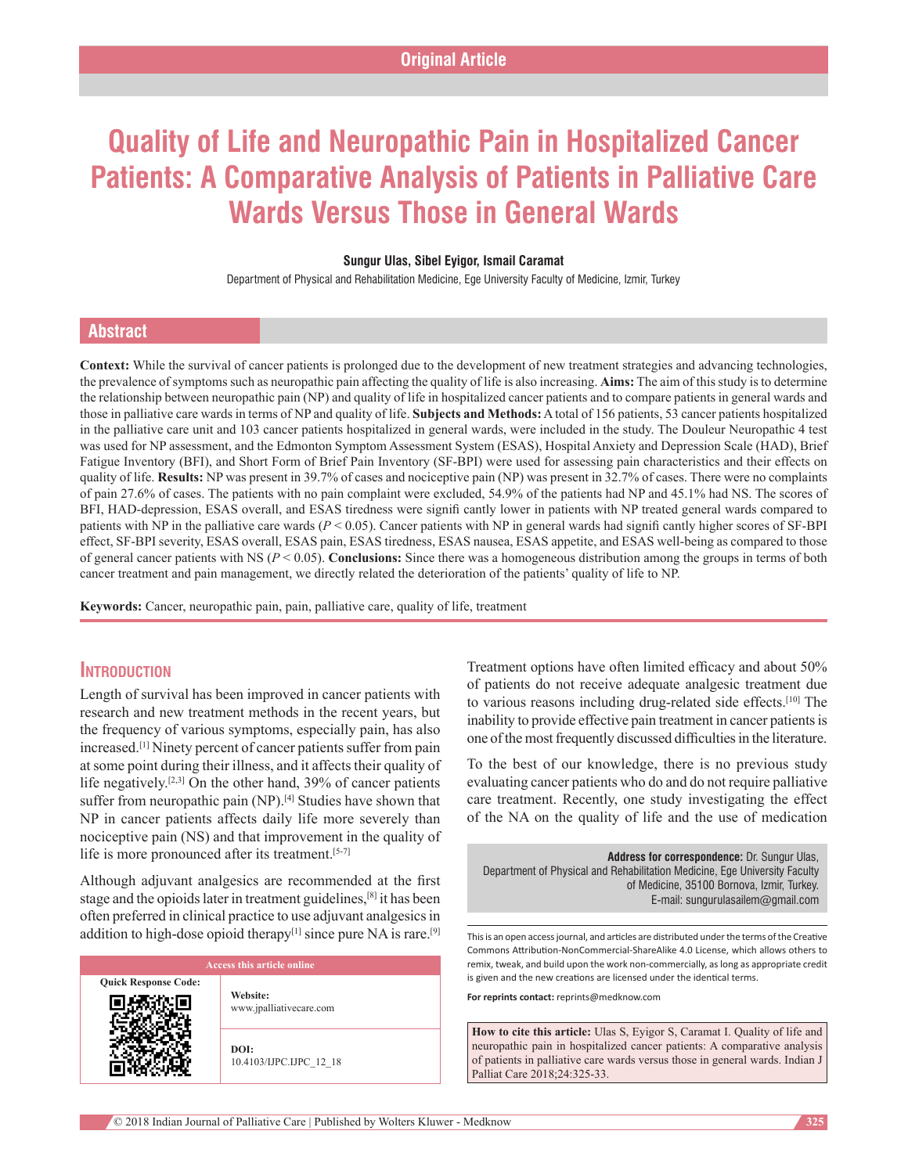# **Quality of Life and Neuropathic Pain in Hospitalized Cancer Patients: A Comparative Analysis of Patients in Palliative Care Wards Versus Those in General Wards**

#### **Sungur Ulas, Sibel Eyigor, Ismail Caramat**

Department of Physical and Rehabilitation Medicine, Ege University Faculty of Medicine, Izmir, Turkey

## **Abstract**

**Context:** While the survival of cancer patients is prolonged due to the development of new treatment strategies and advancing technologies, the prevalence of symptoms such as neuropathic pain affecting the quality of life is also increasing. **Aims:** The aim of this study is to determine the relationship between neuropathic pain (NP) and quality of life in hospitalized cancer patients and to compare patients in general wards and those in palliative care wards in terms of NP and quality of life. **Subjects and Methods:** A total of 156 patients, 53 cancer patients hospitalized in the palliative care unit and 103 cancer patients hospitalized in general wards, were included in the study. The Douleur Neuropathic 4 test was used for NP assessment, and the Edmonton Symptom Assessment System (ESAS), Hospital Anxiety and Depression Scale (HAD), Brief Fatigue Inventory (BFI), and Short Form of Brief Pain Inventory (SF-BPI) were used for assessing pain characteristics and their effects on quality of life. **Results:** NP was present in 39.7% of cases and nociceptive pain (NP) was present in 32.7% of cases. There were no complaints of pain 27.6% of cases. The patients with no pain complaint were excluded, 54.9% of the patients had NP and 45.1% had NS. The scores of BFI, HAD-depression, ESAS overall, and ESAS tiredness were signifi cantly lower in patients with NP treated general wards compared to patients with NP in the palliative care wards (*P* < 0.05). Cancer patients with NP in general wards had signifi cantly higher scores of SF-BPI effect, SF-BPI severity, ESAS overall, ESAS pain, ESAS tiredness, ESAS nausea, ESAS appetite, and ESAS well-being as compared to those of general cancer patients with NS (*P* < 0.05). **Conclusions:** Since there was a homogeneous distribution among the groups in terms of both cancer treatment and pain management, we directly related the deterioration of the patients' quality of life to NP.

**Keywords:** Cancer, neuropathic pain, pain, palliative care, quality of life, treatment

## **Introduction**

Length of survival has been improved in cancer patients with research and new treatment methods in the recent years, but the frequency of various symptoms, especially pain, has also increased.[1] Ninety percent of cancer patients suffer from pain at some point during their illness, and it affects their quality of life negatively.<sup>[2,3]</sup> On the other hand, 39% of cancer patients suffer from neuropathic pain (NP).<sup>[4]</sup> Studies have shown that NP in cancer patients affects daily life more severely than nociceptive pain (NS) and that improvement in the quality of life is more pronounced after its treatment.<sup>[5-7]</sup>

Although adjuvant analgesics are recommended at the first stage and the opioids later in treatment guidelines,[8] it has been often preferred in clinical practice to use adjuvant analgesics in addition to high-dose opioid therapy<sup>[1]</sup> since pure NA is rare.<sup>[9]</sup>

|                             | <b>Access this article online</b>   |
|-----------------------------|-------------------------------------|
| <b>Quick Response Code:</b> | Website:<br>www.jpalliativecare.com |
|                             | DOI:<br>10.4103/IJPC.IJPC 12 18     |

Treatment options have often limited efficacy and about 50% of patients do not receive adequate analgesic treatment due to various reasons including drug-related side effects.<sup>[10]</sup> The inability to provide effective pain treatment in cancer patients is one of the most frequently discussed difficulties in the literature.

To the best of our knowledge, there is no previous study evaluating cancer patients who do and do not require palliative care treatment. Recently, one study investigating the effect of the NA on the quality of life and the use of medication

**Address for correspondence:** Dr. Sungur Ulas, Department of Physical and Rehabilitation Medicine, Ege University Faculty of Medicine, 35100 Bornova, Izmir, Turkey. E‑mail: sungurulasailem@gmail.com

This is an open access journal, and articles are distributed under the terms of the Creative Commons Attribution-NonCommercial-ShareAlike 4.0 License, which allows others to remix, tweak, and build upon the work non-commercially, as long as appropriate credit is given and the new creations are licensed under the identical terms.

**For reprints contact:** reprints@medknow.com

**How to cite this article:** Ulas S, Eyigor S, Caramat I. Quality of life and neuropathic pain in hospitalized cancer patients: A comparative analysis of patients in palliative care wards versus those in general wards. Indian J Palliat Care 2018;24:325-33.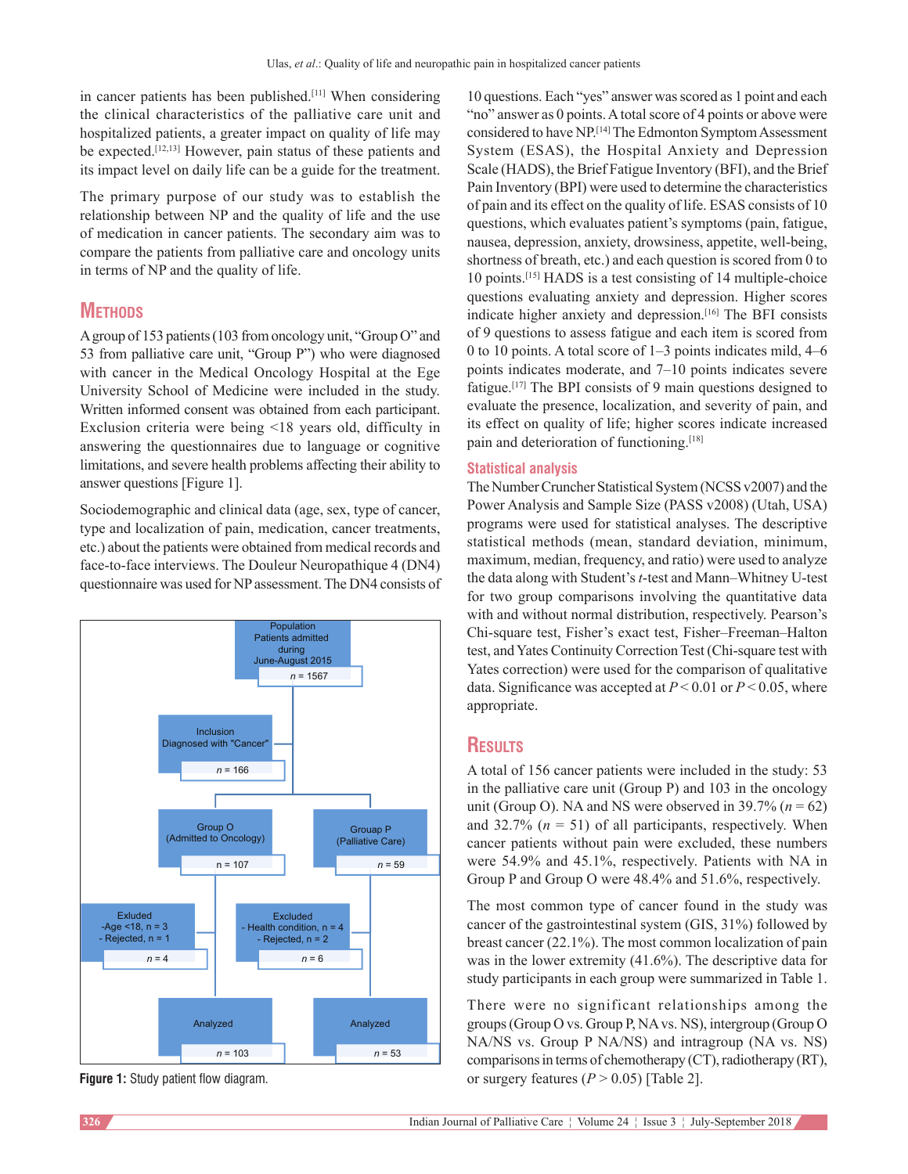in cancer patients has been published.[11] When considering the clinical characteristics of the palliative care unit and hospitalized patients, a greater impact on quality of life may be expected.<sup>[12,13]</sup> However, pain status of these patients and its impact level on daily life can be a guide for the treatment.

The primary purpose of our study was to establish the relationship between NP and the quality of life and the use of medication in cancer patients. The secondary aim was to compare the patients from palliative care and oncology units in terms of NP and the quality of life.

# **METHODS**

A group of 153 patients(103 from oncology unit, "Group O" and 53 from palliative care unit, "Group P") who were diagnosed with cancer in the Medical Oncology Hospital at the Ege University School of Medicine were included in the study. Written informed consent was obtained from each participant. Exclusion criteria were being <18 years old, difficulty in answering the questionnaires due to language or cognitive limitations, and severe health problems affecting their ability to answer questions [Figure 1].

Sociodemographic and clinical data (age, sex, type of cancer, type and localization of pain, medication, cancer treatments, etc.) about the patients were obtained from medical records and face-to-face interviews. The Douleur Neuropathique 4 (DN4) questionnaire was used for NP assessment. The DN4 consists of



**Figure 1:** Study patient flow diagram.

10 questions. Each "yes" answer was scored as 1 point and each "no" answer as 0 points. Atotal score of 4 points or above were considered to have NP.[14] The Edmonton Symptom Assessment System (ESAS), the Hospital Anxiety and Depression Scale (HADS), the Brief Fatigue Inventory (BFI), and the Brief Pain Inventory (BPI) were used to determine the characteristics of pain and its effect on the quality of life. ESAS consists of 10 questions, which evaluates patient's symptoms (pain, fatigue, nausea, depression, anxiety, drowsiness, appetite, well-being, shortness of breath, etc.) and each question is scored from 0 to 10 points.<sup>[15]</sup> HADS is a test consisting of 14 multiple-choice questions evaluating anxiety and depression. Higher scores indicate higher anxiety and depression.[16] The BFI consists of 9 questions to assess fatigue and each item is scored from 0 to 10 points. A total score of 1–3 points indicates mild, 4–6 points indicates moderate, and 7–10 points indicates severe fatigue.[17] The BPI consists of 9 main questions designed to evaluate the presence, localization, and severity of pain, and its effect on quality of life; higher scores indicate increased pain and deterioration of functioning.<sup>[18]</sup>

#### **Statistical analysis**

The Number Cruncher Statistical System(NCSS v2007) and the Power Analysis and Sample Size (PASS v2008) (Utah, USA) programs were used for statistical analyses. The descriptive statistical methods (mean, standard deviation, minimum, maximum, median, frequency, and ratio) were used to analyze the data along with Student's *t*-test and Mann–Whitney U-test for two group comparisons involving the quantitative data with and without normal distribution, respectively. Pearson's Chi‑square test, Fisher's exact test, Fisher–Freeman–Halton test, and Yates Continuity Correction Test (Chi-square test with Yates correction) were used for the comparison of qualitative data. Significance was accepted at *P* < 0.01 or *P* < 0.05, where appropriate.

# **Results**

A total of 156 cancer patients were included in the study: 53 in the palliative care unit (Group P) and 103 in the oncology unit (Group O). NA and NS were observed in 39.7% ( $n = 62$ ) and  $32.7\%$  ( $n = 51$ ) of all participants, respectively. When cancer patients without pain were excluded, these numbers were 54.9% and 45.1%, respectively. Patients with NA in Group P and Group O were 48.4% and 51.6%, respectively.

The most common type of cancer found in the study was cancer of the gastrointestinal system (GIS, 31%) followed by breast cancer (22.1%). The most common localization of pain was in the lower extremity (41.6%). The descriptive data for study participants in each group were summarized in Table 1.

There were no significant relationships among the groups(Group O vs. Group P, NA vs. NS), intergroup (Group O NA/NS vs. Group P NA/NS) and intragroup (NA vs. NS) comparisons in terms of chemotherapy (CT), radiotherapy (RT), or surgery features  $(P > 0.05)$  [Table 2].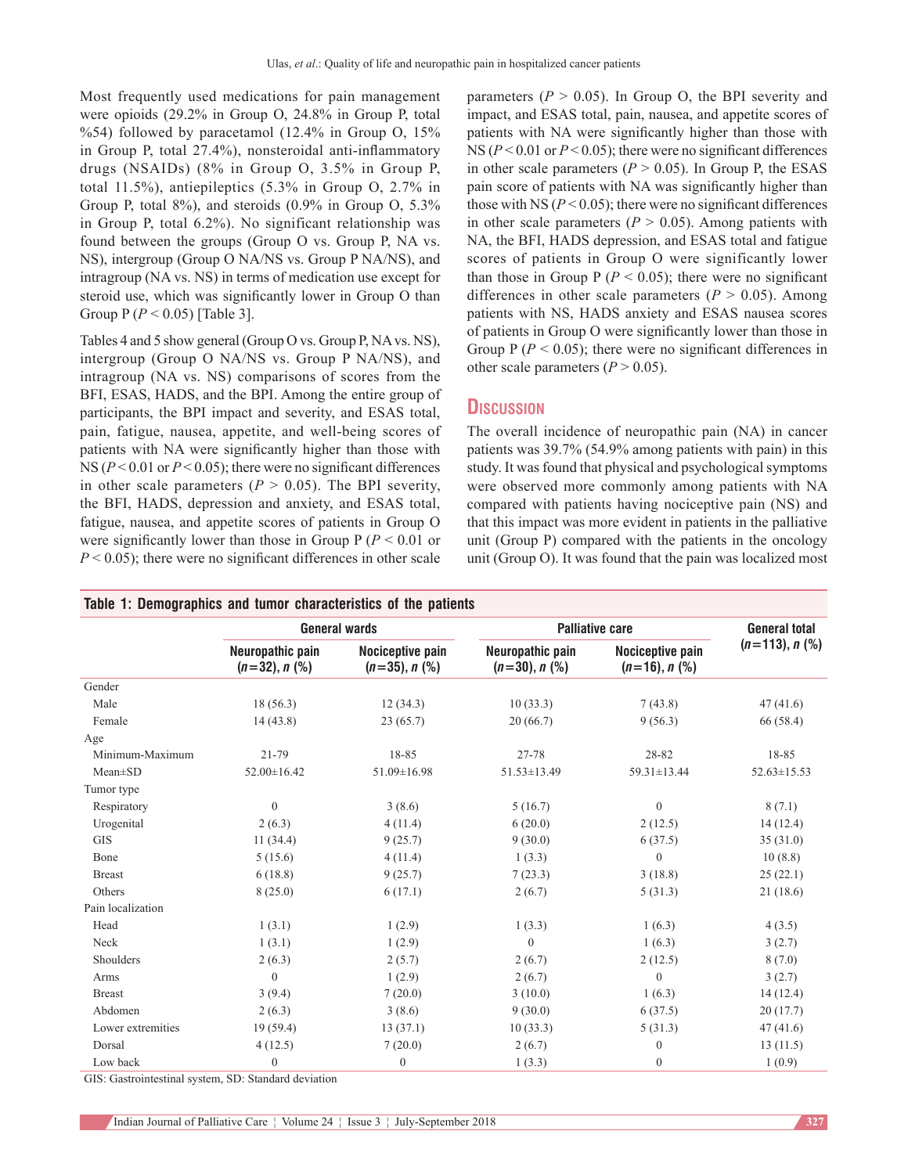Most frequently used medications for pain management were opioids (29.2% in Group O, 24.8% in Group P, total %54) followed by paracetamol (12.4% in Group O, 15% in Group P, total 27.4%), nonsteroidal anti-inflammatory drugs (NSAIDs) (8% in Group O, 3.5% in Group P, total 11.5%), antiepileptics (5.3% in Group O, 2.7% in Group P, total  $8\%$ ), and steroids  $(0.9\%$  in Group O, 5.3% in Group P, total 6.2%). No significant relationship was found between the groups (Group O vs. Group P, NA vs. NS), intergroup (Group O NA/NS vs. Group P NA/NS), and intragroup (NA vs. NS) in terms of medication use except for steroid use, which was significantly lower in Group O than Group P (*P* < 0.05) [Table 3].

Tables 4 and 5 show general (Group O vs. Group P, NA vs. NS), intergroup (Group O NA/NS vs. Group P NA/NS), and intragroup (NA vs. NS) comparisons of scores from the BFI, ESAS, HADS, and the BPI. Among the entire group of participants, the BPI impact and severity, and ESAS total, pain, fatigue, nausea, appetite, and well-being scores of patients with NA were significantly higher than those with NS ( $P < 0.01$  or  $P < 0.05$ ); there were no significant differences in other scale parameters ( $P > 0.05$ ). The BPI severity, the BFI, HADS, depression and anxiety, and ESAS total, fatigue, nausea, and appetite scores of patients in Group O were significantly lower than those in Group  $P (P < 0.01$  or  $P < 0.05$ ; there were no significant differences in other scale parameters  $(P > 0.05)$ . In Group O, the BPI severity and impact, and ESAS total, pain, nausea, and appetite scores of patients with NA were significantly higher than those with NS (*P* < 0.01 or *P* < 0.05); there were no significant differences in other scale parameters ( $P > 0.05$ ). In Group P, the ESAS pain score of patients with NA was significantly higher than those with NS  $(P < 0.05)$ ; there were no significant differences in other scale parameters  $(P > 0.05)$ . Among patients with NA, the BFI, HADS depression, and ESAS total and fatigue scores of patients in Group O were significantly lower than those in Group  $P(P < 0.05)$ ; there were no significant differences in other scale parameters ( $P > 0.05$ ). Among patients with NS, HADS anxiety and ESAS nausea scores of patients in Group O were significantly lower than those in Group  $P(P < 0.05)$ ; there were no significant differences in other scale parameters  $(P > 0.05)$ .

## **Discussion**

The overall incidence of neuropathic pain (NA) in cancer patients was 39.7% (54.9% among patients with pain) in this study. It was found that physical and psychological symptoms were observed more commonly among patients with NA compared with patients having nociceptive pain (NS) and that this impact was more evident in patients in the palliative unit (Group P) compared with the patients in the oncology unit (Group O). It was found that the pain was localized most

|                   |                                     | <b>General wards</b>                    |                                     | <b>Palliative care</b>                  | <b>General total</b> |
|-------------------|-------------------------------------|-----------------------------------------|-------------------------------------|-----------------------------------------|----------------------|
|                   | Neuropathic pain<br>$(n=32), n$ (%) | Nociceptive pain<br>$(n=35)$ , n $(\%)$ | Neuropathic pain<br>$(n=30), n$ (%) | Nociceptive pain<br>$(n=16)$ , n $(\%)$ | $(n=113), n$ (%)     |
| Gender            |                                     |                                         |                                     |                                         |                      |
| Male              | 18(56.3)                            | 12(34.3)                                | 10(33.3)                            | 7(43.8)                                 | 47(41.6)             |
| Female            | 14(43.8)                            | 23(65.7)                                | 20(66.7)                            | 9(56.3)                                 | 66 (58.4)            |
| Age               |                                     |                                         |                                     |                                         |                      |
| Minimum-Maximum   | 21-79                               | 18-85                                   | 27-78                               | 28-82                                   | 18-85                |
| $Mean \pm SD$     | 52.00±16.42                         | 51.09±16.98                             | 51.53±13.49                         | 59.31±13.44                             | $52.63 \pm 15.53$    |
| Tumor type        |                                     |                                         |                                     |                                         |                      |
| Respiratory       | $\boldsymbol{0}$                    | 3(8.6)                                  | 5(16.7)                             | $\boldsymbol{0}$                        | 8(7.1)               |
| Urogenital        | 2(6.3)                              | 4(11.4)                                 | 6(20.0)                             | 2(12.5)                                 | 14(12.4)             |
| <b>GIS</b>        | 11(34.4)                            | 9(25.7)                                 | 9(30.0)                             | 6(37.5)                                 | 35(31.0)             |
| Bone              | 5(15.6)                             | 4(11.4)                                 | 1(3.3)                              | $\mathbf{0}$                            | 10(8.8)              |
| <b>Breast</b>     | 6(18.8)                             | 9(25.7)                                 | 7(23.3)                             | 3(18.8)                                 | 25(22.1)             |
| Others            | 8(25.0)                             | 6(17.1)                                 | 2(6.7)                              | 5(31.3)                                 | 21(18.6)             |
| Pain localization |                                     |                                         |                                     |                                         |                      |
| Head              | 1(3.1)                              | 1(2.9)                                  | 1(3.3)                              | 1(6.3)                                  | 4(3.5)               |
| Neck              | 1(3.1)                              | 1(2.9)                                  | $\mathbf{0}$                        | 1(6.3)                                  | 3(2.7)               |
| Shoulders         | 2(6.3)                              | 2(5.7)                                  | 2(6.7)                              | 2(12.5)                                 | 8(7.0)               |
| Arms              | $\boldsymbol{0}$                    | 1(2.9)                                  | 2(6.7)                              | $\mathbf{0}$                            | 3(2.7)               |
| <b>Breast</b>     | 3(9.4)                              | 7(20.0)                                 | 3(10.0)                             | 1(6.3)                                  | 14(12.4)             |
| Abdomen           | 2(6.3)                              | 3(8.6)                                  | 9(30.0)                             | 6(37.5)                                 | 20(17.7)             |
| Lower extremities | 19(59.4)                            | 13(37.1)                                | 10(33.3)                            | 5(31.3)                                 | 47(41.6)             |
| Dorsal            | 4(12.5)                             | 7(20.0)                                 | 2(6.7)                              | $\mathbf{0}$                            | 13(11.5)             |
| Low back          | $\mathbf{0}$                        | $\boldsymbol{0}$                        | 1(3.3)                              | $\overline{0}$                          | 1(0.9)               |

GIS: Gastrointestinal system, SD: Standard deviation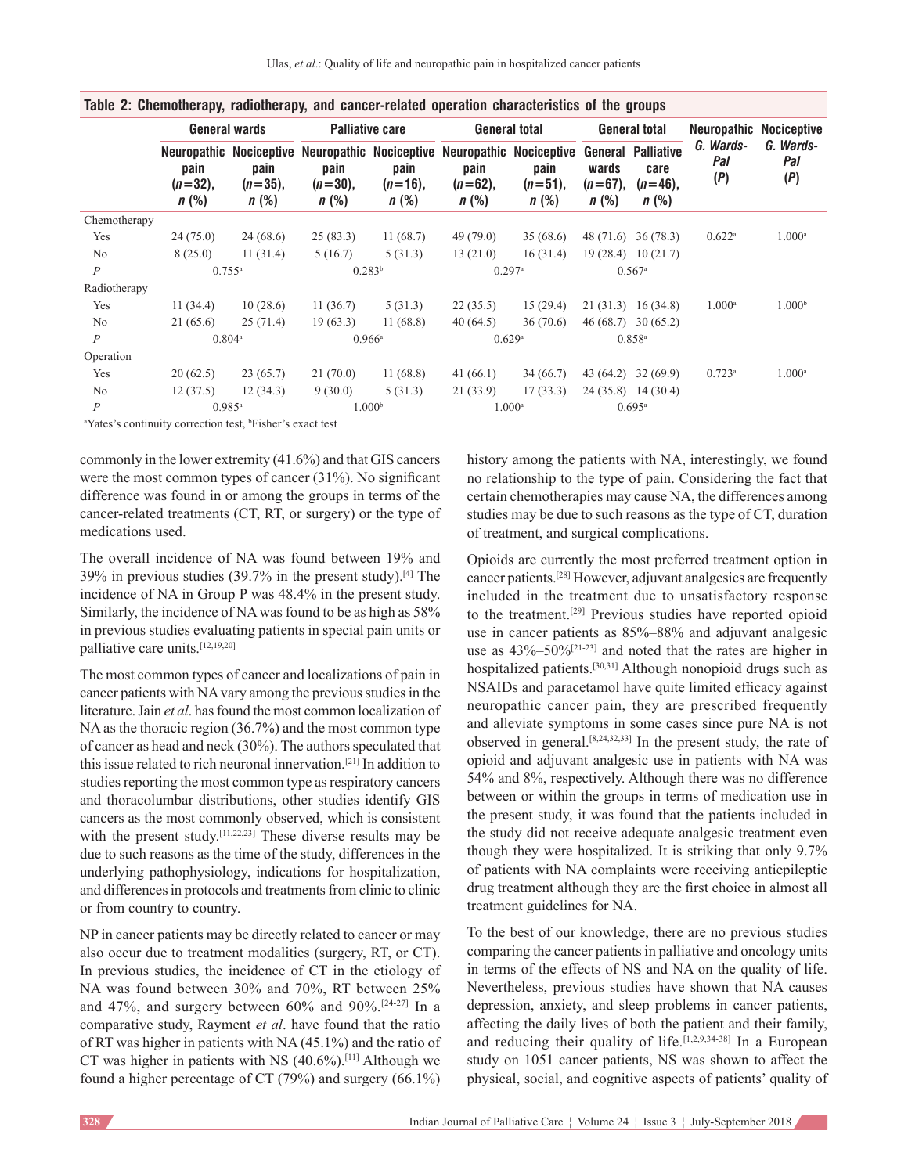|                  |                              |                               |                               |                               | iania mi alialilatifahiti italiatifahiti alia atliaat taltiaa ahattifahiti alialilatifa al'illa diatha   |                               |                                |                                                            |                         |                         |
|------------------|------------------------------|-------------------------------|-------------------------------|-------------------------------|----------------------------------------------------------------------------------------------------------|-------------------------------|--------------------------------|------------------------------------------------------------|-------------------------|-------------------------|
|                  |                              | <b>General wards</b>          |                               | <b>Palliative care</b>        | <b>General total</b>                                                                                     |                               |                                | General total                                              | Neuropathic             | <b>Nociceptive</b>      |
|                  | pain<br>$(n=32),$<br>$n$ (%) | pain<br>$(n=35)$ ,<br>$n$ (%) | pain<br>$(n=30)$ .<br>$n$ (%) | pain<br>$(n=16)$ ,<br>$n$ (%) | Neuropathic Nociceptive Neuropathic Nociceptive Neuropathic Nociceptive<br>pain<br>$(n=62)$ .<br>$n$ (%) | pain<br>$(n=51)$ ,<br>$n$ (%) | wards<br>$(n=67)$ .<br>$n$ (%) | <b>General Palliative</b><br>care<br>$(n=46)$ ,<br>$n$ (%) | G. Wards-<br>Pal<br>(P) | G. Wards-<br>Pal<br>(P) |
| Chemotherapy     |                              |                               |                               |                               |                                                                                                          |                               |                                |                                                            | $0.622$ <sup>a</sup>    |                         |
| Yes              | 24(75.0)                     | 24(68.6)                      | 25(83.3)                      | 11(68.7)                      | 49 (79.0)                                                                                                | 35(68.6)                      |                                | 48 (71.6) 36 (78.3)                                        |                         | $1.000^{\rm a}$         |
| N <sub>o</sub>   | 8(25.0)                      | 11(31.4)                      | 5(16.7)                       | 5(31.3)                       | 13(21.0)                                                                                                 | 16(31.4)                      |                                | $19(28.4)$ $10(21.7)$                                      |                         |                         |
| $\boldsymbol{P}$ |                              | $0.755^{\rm a}$               | $0.283^{b}$                   |                               | $0.297$ <sup>a</sup>                                                                                     |                               |                                | $0.567$ <sup>a</sup>                                       |                         |                         |
| Radiotherapy     |                              |                               |                               |                               |                                                                                                          |                               |                                |                                                            |                         |                         |
| Yes              | 11(34.4)                     | 10(28.6)                      | 11(36.7)                      | 5(31.3)                       | 15(29.4)<br>22(35.5)                                                                                     |                               |                                | 21(31.3) 16(34.8)                                          | $1.000^{\rm a}$         | 1.000 <sup>b</sup>      |
| No               | 21(65.6)                     | 25(71.4)                      | 19(63.3)                      | 11(68.8)                      | 40(64.5)                                                                                                 | 36(70.6)                      |                                | $46(68.7)$ 30 (65.2)                                       |                         |                         |
| $\boldsymbol{P}$ | $0.804^{\circ}$              |                               |                               | $0.966^{\rm a}$               | 0.629a                                                                                                   |                               |                                | $0.858^{a}$                                                |                         |                         |
| Operation        |                              |                               |                               |                               |                                                                                                          |                               |                                |                                                            |                         |                         |
| Yes              | 20(62.5)                     | 23(65.7)                      | 21(70.0)                      | 11(68.8)                      | 41 $(66.1)$                                                                                              | 34(66.7)                      | 43(64.2)                       | 32(69.9)                                                   | $0.723$ <sup>a</sup>    | $1.000^{\rm a}$         |
| No               | 12(37.5)                     | 12(34.3)                      | 9(30.0)                       | 5(31.3)                       | 21(33.9)                                                                                                 | 17(33.3)                      |                                | $24(35.8)$ 14 (30.4)                                       |                         |                         |
| $\overline{P}$   | $0.985$ <sup>a</sup>         |                               |                               | 1.000 <sup>b</sup>            | $1.000$ <sup>a</sup>                                                                                     |                               |                                | $0.695^{\rm a}$                                            |                         |                         |

| Table 2: Chemotherapy, radiotherapy, and cancer-related operation characteristics of the groups |  |  |  |  |  |
|-------------------------------------------------------------------------------------------------|--|--|--|--|--|
|                                                                                                 |  |  |  |  |  |

<sup>a</sup>Yates's continuity correction test, <sup>b</sup>Fisher's exact test

commonly in the lower extremity (41.6%) and that GIS cancers were the most common types of cancer (31%). No significant difference was found in or among the groups in terms of the cancer-related treatments (CT, RT, or surgery) or the type of medications used.

The overall incidence of NA was found between 19% and 39% in previous studies (39.7% in the present study).[4] The incidence of NA in Group P was 48.4% in the present study. Similarly, the incidence of NA was found to be as high as 58% in previous studies evaluating patients in special pain units or palliative care units.[12,19,20]

The most common types of cancer and localizations of pain in cancer patients with NA vary among the previous studies in the literature. Jain *et al*. has found the most common localization of NA as the thoracic region (36.7%) and the most common type of cancer as head and neck (30%). The authors speculated that this issue related to rich neuronal innervation.[21] In addition to studies reporting the most common type as respiratory cancers and thoracolumbar distributions, other studies identify GIS cancers as the most commonly observed, which is consistent with the present study.<sup>[11,22,23]</sup> These diverse results may be due to such reasons as the time of the study, differences in the underlying pathophysiology, indications for hospitalization, and differences in protocols and treatments from clinic to clinic or from country to country.

NP in cancer patients may be directly related to cancer or may also occur due to treatment modalities (surgery, RT, or CT). In previous studies, the incidence of CT in the etiology of NA was found between 30% and 70%, RT between 25% and 47%, and surgery between 60% and 90%.<sup>[24-27]</sup> In a comparative study, Rayment *et al*. have found that the ratio of RT was higher in patients with NA (45.1%) and the ratio of CT was higher in patients with NS  $(40.6\%)$ .<sup>[11]</sup> Although we found a higher percentage of CT (79%) and surgery (66.1%)

history among the patients with NA, interestingly, we found no relationship to the type of pain. Considering the fact that certain chemotherapies may cause NA, the differences among studies may be due to such reasons as the type of CT, duration of treatment, and surgical complications.

Opioids are currently the most preferred treatment option in cancer patients.[28] However, adjuvant analgesics are frequently included in the treatment due to unsatisfactory response to the treatment.[29] Previous studies have reported opioid use in cancer patients as 85%–88% and adjuvant analgesic use as  $43\% - 50\%$ <sup>[21-23]</sup> and noted that the rates are higher in hospitalized patients.<sup>[30,31]</sup> Although nonopioid drugs such as NSAIDs and paracetamol have quite limited efficacy against neuropathic cancer pain, they are prescribed frequently and alleviate symptoms in some cases since pure NA is not observed in general.[8,24,32,33] In the present study, the rate of opioid and adjuvant analgesic use in patients with NA was 54% and 8%, respectively. Although there was no difference between or within the groups in terms of medication use in the present study, it was found that the patients included in the study did not receive adequate analgesic treatment even though they were hospitalized. It is striking that only 9.7% of patients with NA complaints were receiving antiepileptic drug treatment although they are the first choice in almost all treatment guidelines for NA.

To the best of our knowledge, there are no previous studies comparing the cancer patients in palliative and oncology units in terms of the effects of NS and NA on the quality of life. Nevertheless, previous studies have shown that NA causes depression, anxiety, and sleep problems in cancer patients, affecting the daily lives of both the patient and their family, and reducing their quality of life.<sup>[1,2,9,34-38]</sup> In a European study on 1051 cancer patients, NS was shown to affect the physical, social, and cognitive aspects of patients' quality of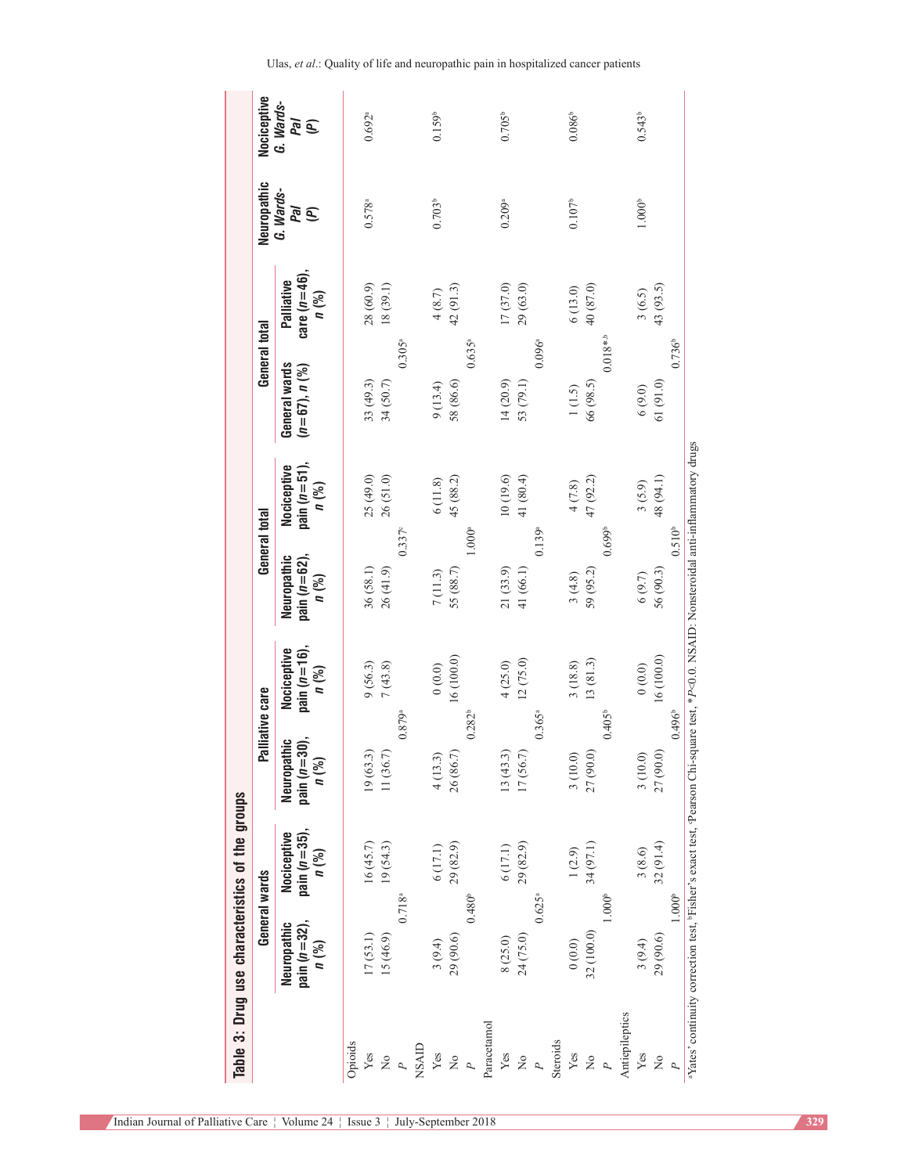|                                                 | Nociceptive    | G. Wards-<br>leg<br>Vad                              |         | $0.692^{a}$ |                                                                        |                |       | 0.159 <sup>b</sup> |                                |                      |             | $0.705^{\circ}$ |             |                |          | $0.086^{b}$     |             |                    |                | $0.543^b$          |               |                    |                                                                                                                                                                             |
|-------------------------------------------------|----------------|------------------------------------------------------|---------|-------------|------------------------------------------------------------------------|----------------|-------|--------------------|--------------------------------|----------------------|-------------|-----------------|-------------|----------------|----------|-----------------|-------------|--------------------|----------------|--------------------|---------------|--------------------|-----------------------------------------------------------------------------------------------------------------------------------------------------------------------------|
|                                                 | Neuropathic    | G. Wards-<br>Nal<br>(A)                              |         | $0.578^{a}$ |                                                                        |                |       | $0.703^{b}$        |                                |                      |             | 0.209a          |             |                |          | $0.107^{\rm b}$ |             |                    |                | 1.000 <sup>b</sup> |               |                    |                                                                                                                                                                             |
|                                                 |                | care $(n=46)$ ,<br>Palliative<br>n (%)               |         | 28 (60.9)   | 18(39.1)                                                               |                |       | 4(8.7)             | 42(91.3)                       |                      |             | 17(37.0)        | 29 (63.0)   |                |          | 6(13.0)         | 40(87.0)    |                    |                | 3(6.5)             | 43 (93.5)     |                    |                                                                                                                                                                             |
|                                                 | General total  | General wards<br>$(n=67), n (%$                      |         | 33 (49.3)   | 34 (50.7)                                                              | $0.305^{a}$    |       | 9(13.4)            | 58 (86.6)                      | $0.635^{a}$          |             | 14(20.9)        | 53 (79.1)   | $0.096^{a}$    |          | 1(1.5)          | 66 (98.5)   | $0.018**b$         |                | $6(9.0)$           | 61(91.0)      | $0.736^{b}$        |                                                                                                                                                                             |
|                                                 |                | pain $(n=51)$ ,<br>Nociceptive<br>n (%)              |         | 25 (49.0)   | 26(51.0)                                                               |                |       | 6(11.8)            | 45 (88.2)                      | $1.000$ <sup>a</sup> |             | 10(19.6)        | 41 (80.4)   |                |          | 4(7.8)          | 47 (92.2)   |                    |                | 3(5.9)             | 48 (94.1)     |                    |                                                                                                                                                                             |
|                                                 | General total  | pain $(n=62)$ ,<br>Neuropathic<br>n (%)              |         | 36(58.1)    | 26(41.9)                                                               | $0.337^c$      |       | 7(11.3)            | 55 (88.7)                      |                      |             | 21 (33.9)       | 41 (66.1)   | 0.139a         |          | 3(4.8)          | 59 (95.2)   | 0.699 <sup>b</sup> |                | $6(9.7)$           | 56 (90.3)     | 0.510 <sup>b</sup> |                                                                                                                                                                             |
|                                                 | alliative care | pain $(n=16)$ ,<br>Nociceptive<br>n (%)              |         | 9(56.3)     | 7(43.8)                                                                |                |       | (0.0)0             | 16 (100.0)                     |                      |             | 4(25.0)         | 12(75.0)    |                |          | 3(18.8)         | 13(81.3)    |                    |                | (0.0)0             | 16 (100.0)    |                    |                                                                                                                                                                             |
|                                                 |                | pain $(n=30)$ ,<br>Neuropathic<br>n (%)              |         | 19(63.3)    | 11(36.7)                                                               | 0.879a         |       | 4(13.3)            | 26 (86.7)                      | $0.282^{b}$          |             | 13(43.3)        | 17(56.7)    | $0.365^{a}$    |          | 3(10.0)         | 27 (90.0)   | $0.405^{\circ}$    |                | 3(10.0)            | 27 (90.0)     | $0.496^{\circ}$    |                                                                                                                                                                             |
|                                                 |                | pain $(n=35)$ ,<br>Nociceptive<br>$n$ $\binom{9}{0}$ |         | 16(45.7)    | 19(54.3)                                                               |                |       | 6(17.1)            | 29 (82.9)                      |                      |             | 6(17.1)         | 29 (82.9)   |                |          | 1(2.9)          | 34 (97.1)   |                    |                | 3(8.6)             | 32(91.4)      | 1.000 <sup>b</sup> |                                                                                                                                                                             |
| Table 3: Drug use characteristics of the groups | General wards  | pain $(n=32)$ ,<br>Neuropathic<br>$n$ $\binom{9}{0}$ |         | 17(53.1)    | 15 (46.9)                                                              | $0.718^{a}$    |       | 3(9.4)             | 29 (90.6)                      | $0.480^{\circ}$      |             | 8 (25.0)        | 24 (75.0)   | $0.625^{a}$    |          | (0.0)0          | 32 (100.0)  | 1.000 <sup>b</sup> |                | 3(9.4)             | 29 (90.6)     |                    | <sup>a</sup> Yates' continuity correction test, <sup>p</sup> Fisher's exact test, <sup>c</sup> Pearson Chi-square test, *P<0.0. NSAID: Nonsteroidal anti-inflammatory drugs |
|                                                 |                |                                                      | Opioids | Yes         | $\ensuremath{\mathop{\vphantom{\rule{0pt}{0.55em}}}}\nolimits^{\circ}$ | $\overline{P}$ | NSAID | Yes                | $\stackrel{\circ}{\mathbf{z}}$ | P                    | Paracetamol | Yes             | $\tilde{z}$ | $\overline{P}$ | Steroids | Yes             | $\tilde{z}$ | P                  | Antiepileptics | Yes                | $\frac{1}{2}$ |                    |                                                                                                                                                                             |

Indian Journal of Palliative Care ¦ Volume 24 ¦ Issue 3 ¦ July-September 2018 **329**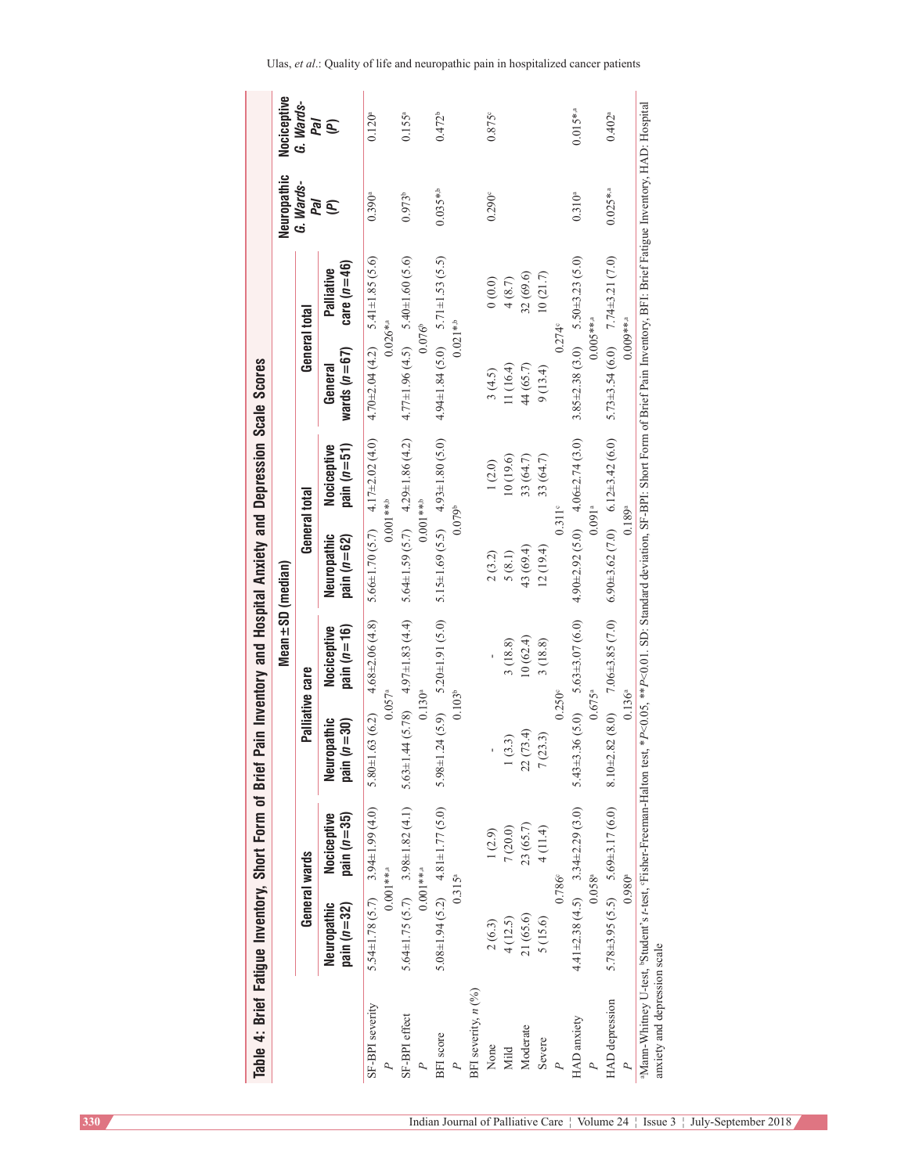| Table 4: Brief Fatigue Inventory, Short Form of Brief                                                                                                                                                                                    |                              |                                                                                    |                                                                |                                                 |                              | Pain Inventory and Hospital Anxiety and Depression Scale Scores   |                                                                     |                             |                    |                      |
|------------------------------------------------------------------------------------------------------------------------------------------------------------------------------------------------------------------------------------------|------------------------------|------------------------------------------------------------------------------------|----------------------------------------------------------------|-------------------------------------------------|------------------------------|-------------------------------------------------------------------|---------------------------------------------------------------------|-----------------------------|--------------------|----------------------|
|                                                                                                                                                                                                                                          |                              |                                                                                    |                                                                | Mean ± SD (median)                              |                              |                                                                   |                                                                     |                             | Neuropathic        | Nociceptive          |
|                                                                                                                                                                                                                                          |                              | General wards                                                                      | Palliative care                                                |                                                 | General total                |                                                                   | General total                                                       |                             | G. Wards-<br>Pal   | G. Wards-<br>Pal     |
|                                                                                                                                                                                                                                          | pain $(n=32)$<br>Neuropathic | pain $(n=35)$<br>Nociceptive                                                       | pain $(n=30)$<br>Neuropathic                                   | pain $(n=16)$<br>Nociceptive                    | Neuropathic<br>pain $(n=62)$ | pain $(n=51)$<br>Nociceptive                                      | wards $(n=67)$<br>General                                           | care $(n=46)$<br>Palliative | <b>E</b>           | $\widehat{\epsilon}$ |
| SF-BPI severity                                                                                                                                                                                                                          |                              | $5.54 \pm 1.78$ (5.7) 3.94 ± 1.99 (4.0)<br>$0.001$ **.a                            | $5.80 \pm 1.63$ (6.2) $4.68 \pm 2.06$ (4.8)<br>$0.057^{\circ}$ |                                                 |                              | $5.66 \pm 1.70$ (5.7) $4.17 \pm 2.02$ (4.0)<br>$0.001***$         | 4.70 $\pm$ 2.04 (4.2) 5.41 $\pm$ 1.85 (5.6)<br>$0.026$ *.a          |                             | 0.390 <sup>a</sup> | $0.120^{a}$          |
| SF-BPI effect                                                                                                                                                                                                                            |                              | $5.64 \pm 1.75(5.7)$ $3.98 \pm 1.82(4.1)$ $5.63 \pm 1.$<br>$0.001***$ <sup>3</sup> | $0.130^{\circ}$                                                | $44(5.78)$ 4.97±1.83(4.4)                       |                              | 5.64±1.59 $(5.7)$ 4.29±1.86 (4.2)<br>$0.001***$                   | $4.77 \pm 1.96$ (4.5) $5.40 \pm 1.60$ (5.6)<br>$0.076$ <sup>b</sup> |                             | $0.973^{b}$        | $0.155^{a}$          |
| BFI score                                                                                                                                                                                                                                | $0.315^{a}$                  | $5.08 \pm 1.94$ (5.2) $4.81 \pm 1.77$ (5.0)                                        | $0.103^{b}$                                                    | $5.98 \pm 1.24$ $(5.9)$ $5.20 \pm 1.91$ $(5.0)$ | 0.079 <sup>b</sup>           | 5.15±1.69 (5.5) $4.93 \pm 1.80$ (5.0)                             | $4.94 \pm 1.84$ (5.0) $5.71 \pm 1.53$ (5.5)<br>$0.021**b$           |                             | $0.035**b$         | $0.472^b$            |
| BFI severity, $n(^{9}/0)$                                                                                                                                                                                                                |                              |                                                                                    |                                                                |                                                 |                              |                                                                   |                                                                     |                             |                    |                      |
| None                                                                                                                                                                                                                                     | 2(6.3)                       | 1(2.9)                                                                             |                                                                |                                                 | 2(3.2)                       | 1(2.0)                                                            | 3(4.5)                                                              | (0.0)                       | 0.290 <sup>e</sup> | $0.875$ c            |
| Mild                                                                                                                                                                                                                                     | 4(12.5)                      | 7(20.0)                                                                            | (3.3)                                                          | 3(18.8)                                         | 5(8.1)                       | 10(19.6)                                                          | 11(16.4)                                                            | 4(8.7)                      |                    |                      |
| Moderate                                                                                                                                                                                                                                 | 21 (65.6)                    | 23 (65.7)                                                                          | 22(73.4)                                                       | 10(62.4)                                        | 43 (69.4)                    | 33 (64.7)                                                         | 44 (65.7)                                                           | 32 (69.6)                   |                    |                      |
| Severe                                                                                                                                                                                                                                   | 5 (15.6)                     | 4 (11.4)                                                                           | (23.3)<br>$\tilde{z}$                                          | 3(18.8)                                         | 12(19.4)                     | 33 (64.7)                                                         | 9(13.4)                                                             | 10(21.7)                    |                    |                      |
|                                                                                                                                                                                                                                          |                              | $0.786^{\circ}$                                                                    | $0.250^{\circ}$                                                |                                                 |                              | $0.311$ <sup>c</sup>                                              | $0.274^{\circ}$                                                     |                             |                    |                      |
| HAD anxiety                                                                                                                                                                                                                              |                              | $4.41\pm2.38(4.5)$ 3.34 $\pm2.29(3.0)$<br>$0.058^{a}$                              | $0.675^{\circ}$                                                | 5.43±3.36 $(5.0)$ 5.63±3.07 $(6.0)$             |                              | $4.90 \pm 2.92$ (5.0) $4.06 \pm 2.74$ (3.0)<br>0.091 <sup>a</sup> | $3.85 \pm 2.38$ (3.0) $5.50 \pm 3.23$ (5.0)<br>$0.005***$ .a        |                             | $0.310^{a}$        | $0.015$ *.a          |
| <b>HAD</b> depression                                                                                                                                                                                                                    |                              | $5.78\pm3.95(5.5)$ $5.69\pm3.17(6.0)$                                              |                                                                | 8.10 $\pm$ 2.82 (8.0) 7.06 $\pm$ 3.85 (7.0)     |                              | 6.90 $\pm$ 3.62 (7.0) 6.12 $\pm$ 3.42 (6.0)                       | 5.73±3.54 (6.0) 7.74±3.21 (7.0)                                     |                             | $0.025$ *.a        | $0.402^{a}$          |
|                                                                                                                                                                                                                                          | $0.980$ <sup>a</sup>         |                                                                                    | $0.136$ °                                                      |                                                 | $0.189^{a}$                  |                                                                   | $0.009***$ .a                                                       |                             |                    |                      |
| Mann-Whitney U-test, Student's r-test, FFisher-Freeman-Halton test, *P<0.0.05, **P<0.01. SD: Standard deviation, SF-BPI: Short Form of Brief Pain Inventory, BFI: Brief Fatigue Inventory, HAD: Hospital<br>anxiety and depression scale |                              |                                                                                    |                                                                |                                                 |                              |                                                                   |                                                                     |                             |                    |                      |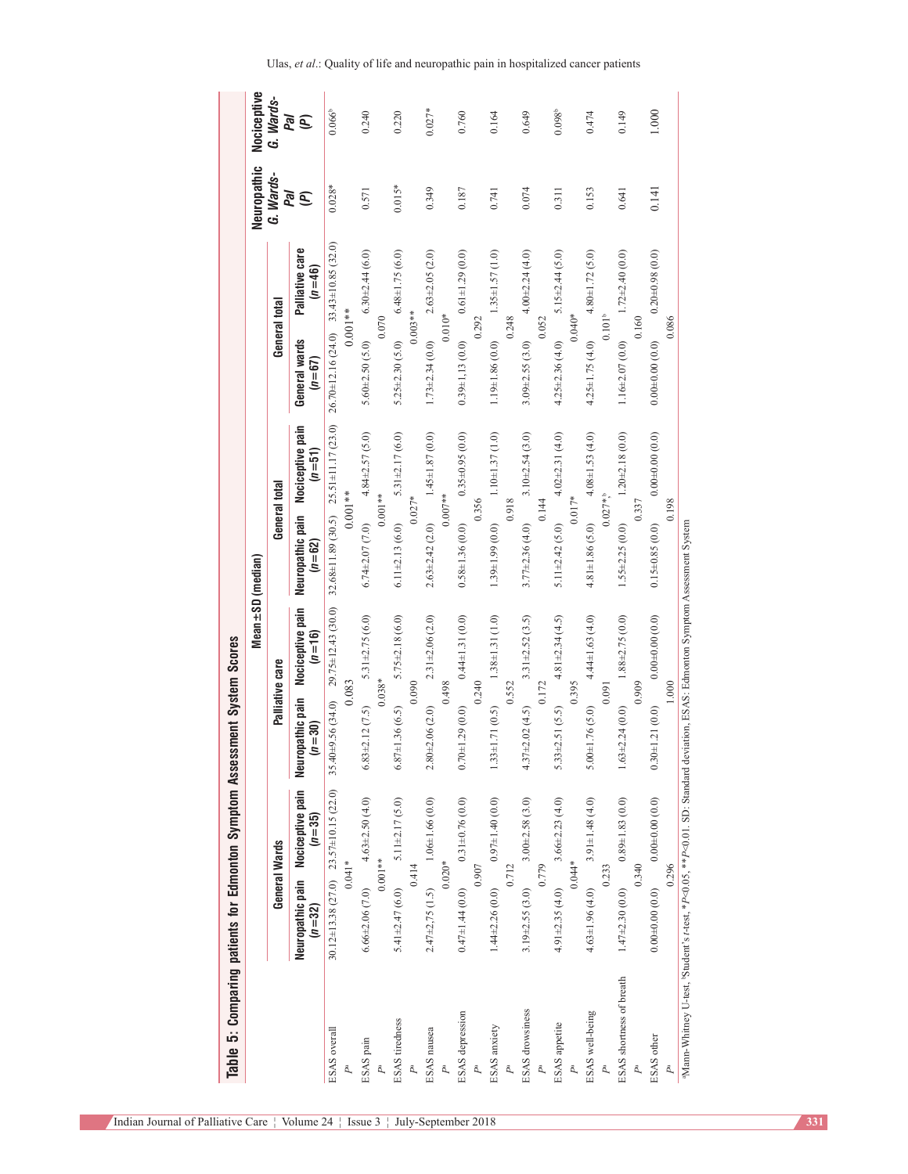| Table 5: Comparing patients for Edmonton Symptom Assessment System Scores                                                     |                       |                                                 |                                |                                | Mean±SD (median)               |                                                   |                                             |                               | Neuropathic | Nociceptive         |
|-------------------------------------------------------------------------------------------------------------------------------|-----------------------|-------------------------------------------------|--------------------------------|--------------------------------|--------------------------------|---------------------------------------------------|---------------------------------------------|-------------------------------|-------------|---------------------|
|                                                                                                                               |                       | General Wards                                   | Palliative care                |                                | General total                  |                                                   | General total                               |                               | G. Wards-   | G. Wards-           |
|                                                                                                                               | $(n = 32)$            | Neuropathic pain Nociceptive pain<br>$(n = 35)$ | Neuropathic pain<br>$(n = 30)$ | Nociceptive pain<br>$(n = 16)$ | Neuropathic pain<br>$(n = 62)$ | Nociceptive pain<br>$(n = 51)$                    | General wards<br>$(n = 67)$                 | Palliative care<br>$(n = 46)$ | Pal<br>Q    | Γal<br>$\mathbf{E}$ |
| ESAS overall                                                                                                                  |                       | 30.12±13.38 (27.0) 23.57±10.15 (22.0)           | $35.40\pm9.56(34.0)$           | 29.75±12.43 (30.0)             |                                | $32.68 \pm 11.89$ (30.5) $25.51 \pm 11.17$ (23.0) | $26.70 \pm 12.16$ (24.0) 33.43±10.85 (32.0) |                               | $0.028*$    | $0.066^{\circ}$     |
| $P^{\rm a}$                                                                                                                   |                       | $0.041*$                                        | 0.083                          |                                |                                | $0.001**$                                         | $0.001***$                                  |                               |             |                     |
| ESAS pain                                                                                                                     |                       | $6.66\pm2.06(7.0)$ $4.63\pm2.50(4.0)$           | $6.83 \pm 2.12$ $(7.5)$        | $5.31 \pm 2.75$ (6.0)          | $6.74 + 2.07(7.0)$             | $4.84 \pm 2.57$ (5.0)                             | $5.60 \pm 2.50$ $(5.0)$                     | $6.30 \pm 2.44$ (6.0)         | 0.571       | 0.240               |
| P <sup>a</sup>                                                                                                                |                       | $0.001**$                                       |                                | $0.038*$                       | $0.001**$                      |                                                   | 0.070                                       |                               |             |                     |
| ESAS tiredness                                                                                                                | $5.41 \pm 2.47$ (6.0) | $5.11 \pm 2.17$ (5.0)                           | $6.87 \pm 1.36$ (6.5)          | $5.75 \pm 2.18$ (6.0)          | $6.11 \pm 2.13$ (6.0)          | $5.31 \pm 2.17(6.0)$                              | $5.25 \pm 2.30$ (5.0)                       | $6.48 \pm 1.75(6.0)$          | $0.015*$    | 0.220               |
| P <sub>a</sub>                                                                                                                |                       | 0.414                                           |                                | 0.090                          | $0.027*$                       |                                                   | $0.003**$                                   |                               |             |                     |
| ESAS nausea                                                                                                                   | $2.47\pm2.75(1.5)$    | $1.06 \pm 1.66(0.0)$                            | $2.80 + 2.06(2.0)$             | $2.31 \pm 2.06$ (2.0)          | $2.63 \pm 2.42$ (2.0)          | $1.45 \pm 1.87$ (0.0)                             | $1.73 \pm 2.34$ (0.0)                       | $2.63 \pm 2.05$ (2.0)         | 0.349       | $0.027*$            |
| $P^a$                                                                                                                         |                       | $0.020*$                                        |                                | 0.498                          | $0.007**$                      |                                                   | $0.010*$                                    |                               |             |                     |
| ESAS depression                                                                                                               |                       | $0.47\pm1.44$ (0.0) $0.31\pm0.76$ (0.0)         | $0.70 \pm 1.29$ $(0.0)$        | $0.44 \pm 1.31(0.0)$           | $0.58 \pm 1.36(0.0)$           | $0.35\pm0.95(0.0)$                                | $0.39 \pm 1.13(0.0)$                        | $0.61 \pm 1.29$ (0.0)         | 0.187       | 0.760               |
| $P^{\rm a}$                                                                                                                   |                       | 0.907                                           |                                | 0.240                          | 0.356                          |                                                   | 0.292                                       |                               |             |                     |
| ESAS anxiety                                                                                                                  | $1.44\pm2.26(0.0)$    | $0.97 \pm 1.40(0.0)$                            | $1.33 \pm 1.71$ (0.5)          | $1.38 \pm 1.31(1.0)$           | $1.39\pm1.99(0.0)$             | $1.10 + 1.37(1.0)$                                | 1.19±1.86 (0.0)                             | $1.35 \pm 1.57(1.0)$          | 0.741       | 0.164               |
| $P^{\rm a}$                                                                                                                   |                       | 0.712                                           |                                | 0.552                          | 0.918                          |                                                   | 0.248                                       |                               |             |                     |
| <b>ESAS</b> drowsiness                                                                                                        |                       | $3.19\pm 2.55(3.0)$ $3.00\pm 2.58(3.0)$         | $4.37 \pm 2.02$ (4.5)          | $3.31 \pm 2.52$ (3.5)          | $3.77 \pm 2.36$ (4.0)          | $3.10 + 2.54(3.0)$                                | $3.09 \pm 2.55$ (3.0)                       | $4.00 + 2.24(4.0)$            | 0.074       | 0.649               |
| $P^{\rm a}$                                                                                                                   |                       | 0.779                                           | 0.172                          |                                | 0.144                          |                                                   | 0.052                                       |                               |             |                     |
| ESAS appetite                                                                                                                 | $4.91 \pm 2.35(4.0)$  | $3.66 \pm 2.23$ (4.0)                           | $5.33 \pm 2.51$ (5.5)          | $4.81 \pm 2.34$ (4.5)          | $5.11 \pm 2.42$ (5.0)          | $4.02 \pm 2.31$ (4.0)                             | $4.25 \pm 2.36$ (4.0)                       | $5.15 \pm 2.44$ (5.0)         | 0.311       | 0.098 <sup>b</sup>  |
| Pa                                                                                                                            |                       | $0.044*$                                        |                                | 0.395                          | $0.017*$                       |                                                   | $0.040*$                                    |                               |             |                     |
| ESAS well-being                                                                                                               | $4.63 \pm 1.96$ (4.0) | $3.91 \pm 1.48$ (4.0)                           | $5.00 \pm 1.76$ (5.0)          | $4.44 \pm 1.63$ (4.0)          | $4.81 \pm 1.86$ (5.0)          | $4.08 \pm 1.53$ (4.0)                             | $4.25 \pm 1.75$ (4.0)                       | $4.80 \pm 1.72$ (5.0)         | 0.153       | 0.474               |
| Pa                                                                                                                            |                       | 0.233                                           | 0.091                          |                                | $0.027*$                       |                                                   |                                             | $0.101^{b}$                   |             |                     |
| ESAS shortness of breath                                                                                                      | $1.47 \pm 2.30(0.0)$  | $0.89 \pm 1.83\ (0.0)$                          | $1.63 \pm 2.24$ (0.0)          | $1.88 \pm 2.75(0.0)$           | $1.55 \pm 2.25$ (0.0)          | $1.20 \pm 2.18$ (0.0)                             | $1.16 \pm 2.07(0.0)$                        | $1.72 \pm 2.40$ (0.0)         | 0.641       | 0.149               |
| Pa                                                                                                                            |                       | 0.340                                           |                                | 0.909                          | 0.337                          |                                                   | 0.160                                       |                               |             |                     |
| ESAS other                                                                                                                    | $0.00 + 0.00(0.0)$    | 0.0040.00(0.0)                                  | $0.30 \pm 1.21(0.0)$           | 0.0040.00(0.0)                 | $0.15 \pm 0.85$ (0.0)          | $0.00 + 0.00(0.0)$                                | $0.00 + 0.00(0.0)$                          | $0.20 + 0.98(0.0)$            | 0.141       | 1.000               |
| Pa                                                                                                                            |                       | 0.296                                           |                                | 1.000                          | 0.198                          |                                                   | 0.086                                       |                               |             |                     |
| aMann-Whitney U-test, Student's t-test, *P<0.0.05, **P<0.01. SD: Standard deviation, ESAS: Edmonton Symptom Assessment System |                       |                                                 |                                |                                |                                |                                                   |                                             |                               |             |                     |

Ulas, *et al*.: Quality of life and neuropathic pain in hospitalized cancer patients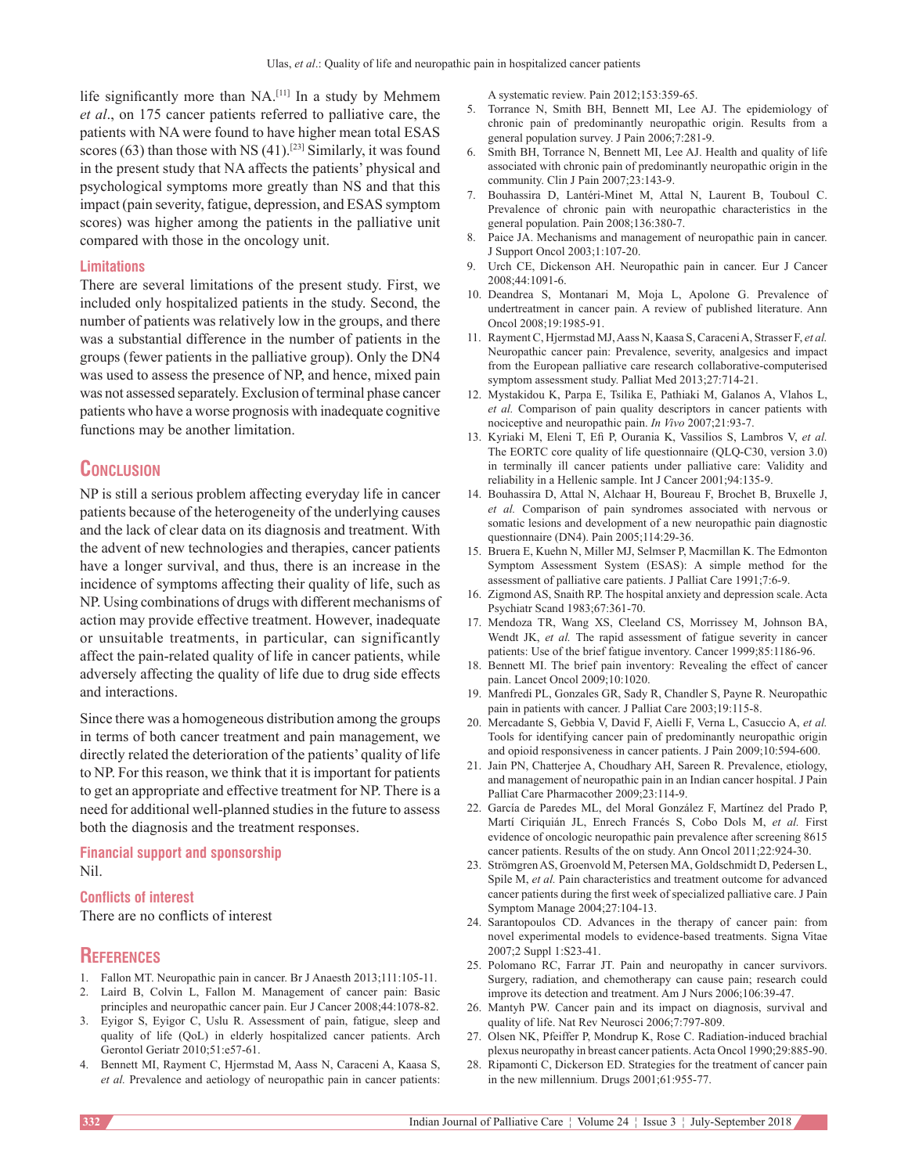life significantly more than NA.[11] In a study by Mehmem *et al*., on 175 cancer patients referred to palliative care, the patients with NA were found to have higher mean total ESAS scores  $(63)$  than those with NS  $(41)$ .<sup>[23]</sup> Similarly, it was found in the present study that NA affects the patients' physical and psychological symptoms more greatly than NS and that this impact (pain severity, fatigue, depression, and ESAS symptom scores) was higher among the patients in the palliative unit compared with those in the oncology unit.

## **Limitations**

There are several limitations of the present study. First, we included only hospitalized patients in the study. Second, the number of patients was relatively low in the groups, and there was a substantial difference in the number of patients in the groups (fewer patients in the palliative group). Only the DN4 was used to assess the presence of NP, and hence, mixed pain was not assessed separately. Exclusion of terminal phase cancer patients who have a worse prognosis with inadequate cognitive functions may be another limitation.

## **Conclusion**

NP is still a serious problem affecting everyday life in cancer patients because of the heterogeneity of the underlying causes and the lack of clear data on its diagnosis and treatment. With the advent of new technologies and therapies, cancer patients have a longer survival, and thus, there is an increase in the incidence of symptoms affecting their quality of life, such as NP. Using combinations of drugs with different mechanisms of action may provide effective treatment. However, inadequate or unsuitable treatments, in particular, can significantly affect the pain‑related quality of life in cancer patients, while adversely affecting the quality of life due to drug side effects and interactions.

Since there was a homogeneous distribution among the groups in terms of both cancer treatment and pain management, we directly related the deterioration of the patients' quality of life to NP. For this reason, we think that it is important for patients to get an appropriate and effective treatment for NP. There is a need for additional well‑planned studies in the future to assess both the diagnosis and the treatment responses.

#### **Financial support and sponsorship** Nil.

### **Conflicts of interest**

There are no conflicts of interest

### **References**

- 1. Fallon MT. Neuropathic pain in cancer. Br J Anaesth 2013;111:105-11.
- 2. Laird B, Colvin L, Fallon M. Management of cancer pain: Basic principles and neuropathic cancer pain. Eur J Cancer 2008;44:1078‑82.
- 3. Eyigor S, Eyigor C, Uslu R. Assessment of pain, fatigue, sleep and quality of life (QoL) in elderly hospitalized cancer patients. Arch Gerontol Geriatr 2010;51:e57‑61.
- 4. Bennett MI, Rayment C, Hjermstad M, Aass N, Caraceni A, Kaasa S, *et al.* Prevalence and aetiology of neuropathic pain in cancer patients:

A systematic review. Pain 2012;153:359‑65.

- 5. Torrance N, Smith BH, Bennett MI, Lee AJ. The epidemiology of chronic pain of predominantly neuropathic origin. Results from a general population survey. J Pain 2006;7:281-9.
- 6. Smith BH, Torrance N, Bennett MI, Lee AJ. Health and quality of life associated with chronic pain of predominantly neuropathic origin in the community. Clin J Pain 2007;23:143‑9.
- 7. Bouhassira D, Lantéri‑Minet M, Attal N, Laurent B, Touboul C. Prevalence of chronic pain with neuropathic characteristics in the general population. Pain 2008;136:380-7.
- 8. Paice JA. Mechanisms and management of neuropathic pain in cancer. J Support Oncol 2003;1:107‑20.
- 9. Urch CE, Dickenson AH. Neuropathic pain in cancer. Eur J Cancer 2008;44:1091‑6.
- 10. Deandrea S, Montanari M, Moja L, Apolone G. Prevalence of undertreatment in cancer pain. A review of published literature. Ann Oncol 2008;19:1985‑91.
- 11. Rayment C, Hjermstad MJ, Aass N, Kaasa S, CaraceniA, Strasser F, *et al.* Neuropathic cancer pain: Prevalence, severity, analgesics and impact from the European palliative care research collaborative-computerised symptom assessment study. Palliat Med 2013;27:714‑21.
- 12. Mystakidou K, Parpa E, Tsilika E, Pathiaki M, Galanos A, Vlahos L, *et al.* Comparison of pain quality descriptors in cancer patients with nociceptive and neuropathic pain. *In Vivo* 2007;21:93‑7.
- 13. Kyriaki M, Eleni T, Efi P, Ourania K, Vassilios S, Lambros V, *et al.* The EORTC core quality of life questionnaire (QLQ-C30, version 3.0) in terminally ill cancer patients under palliative care: Validity and reliability in a Hellenic sample. Int J Cancer 2001;94:135‑9.
- 14. Bouhassira D, Attal N, Alchaar H, Boureau F, Brochet B, Bruxelle J, *et al.* Comparison of pain syndromes associated with nervous or somatic lesions and development of a new neuropathic pain diagnostic questionnaire (DN4). Pain 2005;114:29-36.
- 15. Bruera E, Kuehn N, Miller MJ, Selmser P, Macmillan K. The Edmonton Symptom Assessment System (ESAS): A simple method for the assessment of palliative care patients. J Palliat Care 1991;7:6‑9.
- 16. Zigmond AS, Snaith RP. The hospital anxiety and depression scale. Acta Psychiatr Scand 1983;67:361‑70.
- 17. Mendoza TR, Wang XS, Cleeland CS, Morrissey M, Johnson BA, Wendt JK, *et al.* The rapid assessment of fatigue severity in cancer patients: Use of the brief fatigue inventory. Cancer 1999;85:1186-96.
- 18. Bennett MI. The brief pain inventory: Revealing the effect of cancer pain. Lancet Oncol 2009;10:1020.
- 19. Manfredi PL, Gonzales GR, Sady R, Chandler S, Payne R. Neuropathic pain in patients with cancer. J Palliat Care 2003;19:115-8.
- 20. Mercadante S, Gebbia V, David F, Aielli F, Verna L, Casuccio A, *et al.* Tools for identifying cancer pain of predominantly neuropathic origin and opioid responsiveness in cancer patients. J Pain 2009;10:594-600.
- 21. Jain PN, Chatterjee A, Choudhary AH, Sareen R. Prevalence, etiology, and management of neuropathic pain in an Indian cancer hospital. J Pain Palliat Care Pharmacother 2009;23:114‑9.
- 22. García de Paredes ML, del Moral González F, Martínez del Prado P, Martí Ciriquián JL, Enrech Francés S, Cobo Dols M, *et al.* First evidence of oncologic neuropathic pain prevalence after screening 8615 cancer patients. Results of the on study. Ann Oncol 2011;22:924-30.
- 23. Strömgren AS, Groenvold M, Petersen MA, Goldschmidt D, Pedersen L, Spile M, *et al.* Pain characteristics and treatment outcome for advanced cancer patients during the first week of specialized palliative care. J Pain Symptom Manage 2004;27:104‑13.
- 24. Sarantopoulos CD. Advances in the therapy of cancer pain: from novel experimental models to evidence‑based treatments. Signa Vitae 2007;2 Suppl 1:S23‑41.
- 25. Polomano RC, Farrar JT. Pain and neuropathy in cancer survivors. Surgery, radiation, and chemotherapy can cause pain; research could improve its detection and treatment. Am J Nurs 2006;106:39-47.
- 26. Mantyh PW. Cancer pain and its impact on diagnosis, survival and quality of life. Nat Rev Neurosci 2006;7:797‑809.
- 27. Olsen NK, Pfeiffer P, Mondrup K, Rose C. Radiation‑induced brachial plexus neuropathy in breast cancer patients. Acta Oncol 1990;29:885‑90.
- 28. Ripamonti C, Dickerson ED. Strategies for the treatment of cancer pain in the new millennium. Drugs  $2001;61:955-77$ .